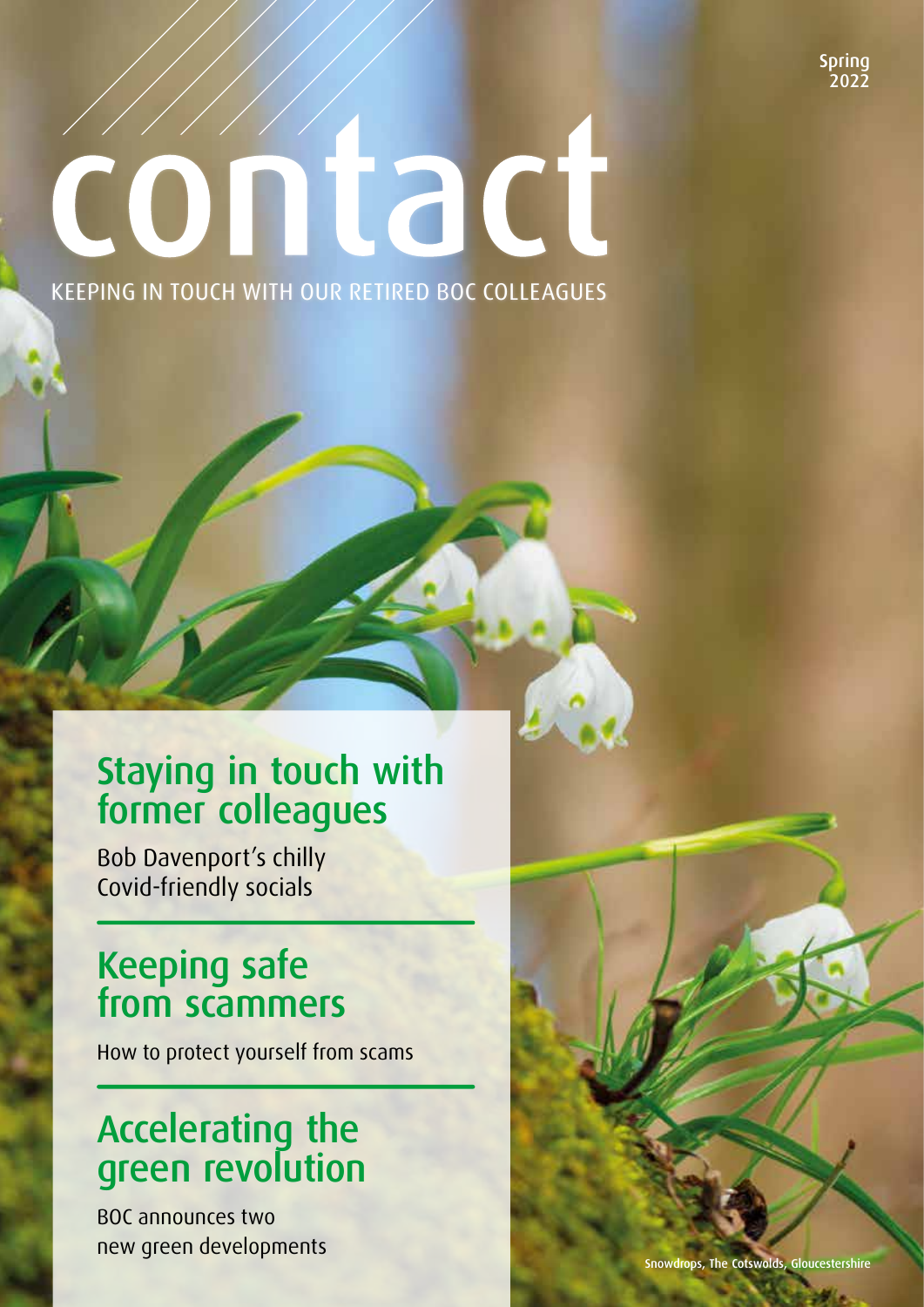Spring วิกววั

# contact KEEPING IN TOUCH WITH OUR RETIRED BOC COLLEAGUES

## Staying in touch with former colleagues

Bob Davenport's chilly Covid-friendly socials

## Keeping safe from scammers

How to protect yourself from scams

## Accelerating the green revolution

BOC announces two new green developments and some snowdrops, the Cotswolds, Gloucestershire Cotswolds, Gloucestershire Cotswolds,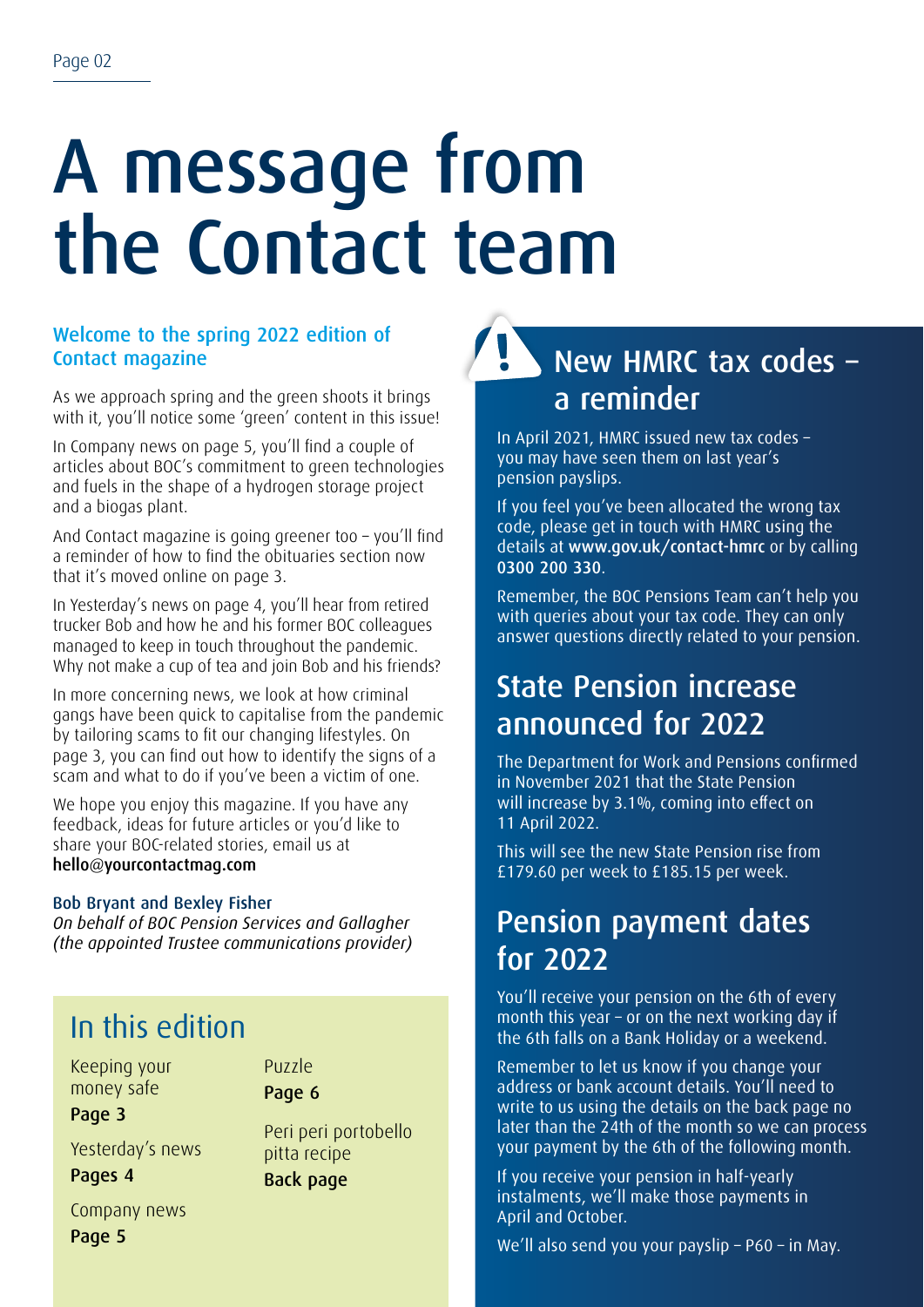## A message from the Contact team

### Welcome to the spring 2022 edition of Contact magazine

As we approach spring and the green shoots it brings with it, you'll notice some 'green' content in this issue!

In Company news on page 5, you'll find a couple of articles about BOC's commitment to green technologies and fuels in the shape of a hydrogen storage project and a biogas plant.

And Contact magazine is going greener too – you'll find a reminder of how to find the obituaries section now that it's moved online on page 3.

In Yesterday's news on page 4, you'll hear from retired trucker Bob and how he and his former BOC colleagues managed to keep in touch throughout the pandemic. Why not make a cup of tea and join Bob and his friends?

In more concerning news, we look at how criminal gangs have been quick to capitalise from the pandemic by tailoring scams to fit our changing lifestyles. On page 3, you can find out how to identify the signs of a scam and what to do if you've been a victim of one.

We hope you enjoy this magazine. If you have any feedback, ideas for future articles or you'd like to share your BOC-related stories, email us at hello@yourcontactmag.com

#### Bob Bryant and Bexley Fisher

*On behalf of BOC Pension Services and Gallagher (the appointed Trustee communications provider)*

### In this edition

Keeping your money safe Page 3

Puzzle Page 6

Yesterday's news Pages 4

Peri peri portobello pitta recipe Back page

Company news Page 5

New HMRC tax codes – a reminder

In April 2021, HMRC issued new tax codes – you may have seen them on last year's pension payslips.

If you feel you've been allocated the wrong tax code, please get in touch with HMRC using the details at www.gov.uk/contact-hmrc or by calling 0300 200 330.

Remember, the BOC Pensions Team can't help you with queries about your tax code. They can only answer questions directly related to your pension.

### State Pension increase announced for 2022

The Department for Work and Pensions confirmed in November 2021 that the State Pension will increase by 3.1%, coming into effect on 11 April 2022.

This will see the new State Pension rise from £179.60 per week to £185.15 per week.

### Pension payment dates for 2022

You'll receive your pension on the 6th of every month this year – or on the next working day if the 6th falls on a Bank Holiday or a weekend.

Remember to let us know if you change your address or bank account details. You'll need to write to us using the details on the back page no later than the 24th of the month so we can process your payment by the 6th of the following month.

If you receive your pension in half-yearly instalments, we'll make those payments in April and October.

We'll also send you your payslip – P60 – in May.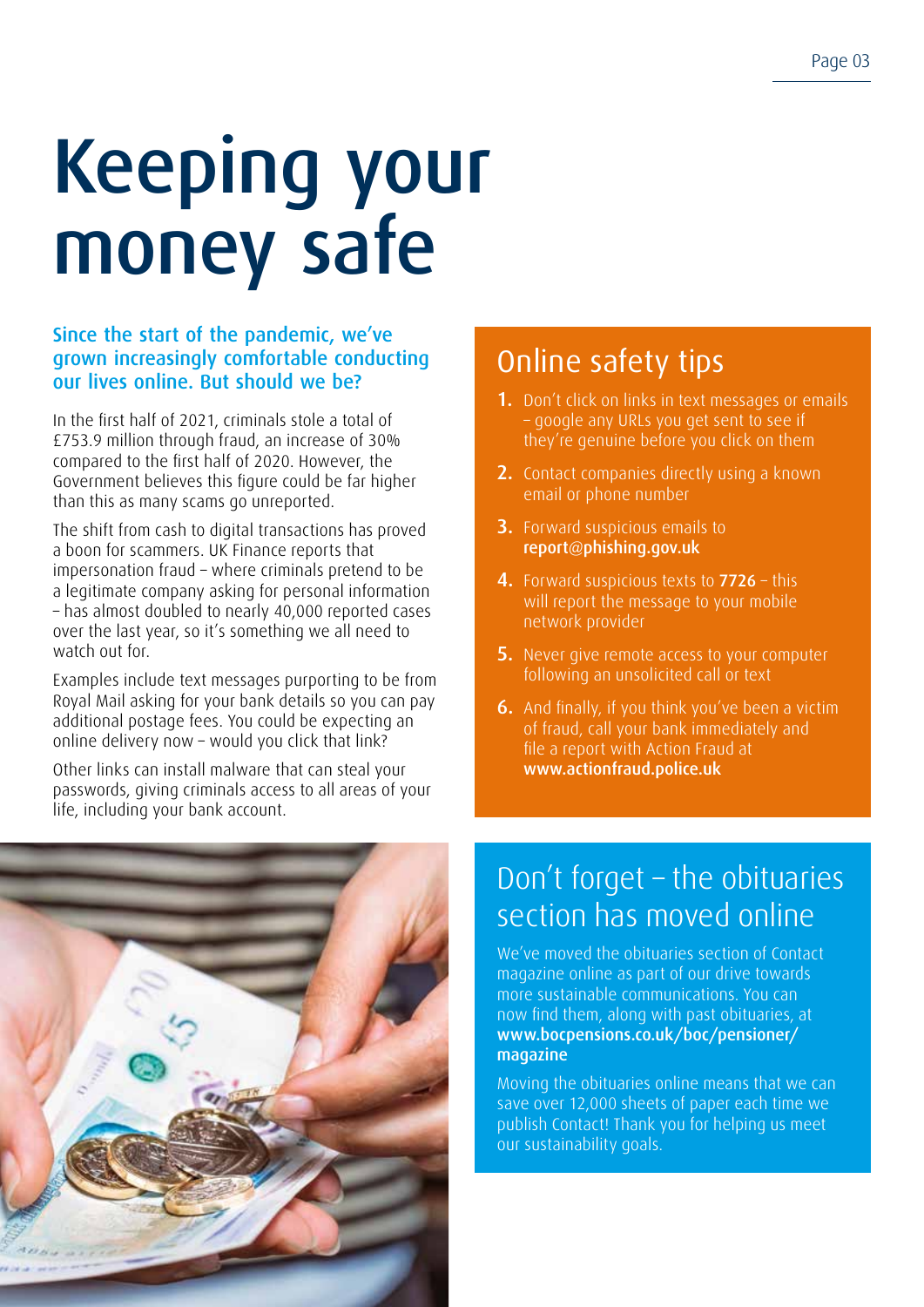## Keeping your money safe

#### Since the start of the pandemic, we've grown increasingly comfortable conducting our lives online. But should we be?

In the first half of 2021, criminals stole a total of £753.9 million through fraud, an increase of 30% compared to the first half of 2020. However, the Government believes this figure could be far higher than this as many scams go unreported.

The shift from cash to digital transactions has proved a boon for scammers. UK Finance reports that impersonation fraud – where criminals pretend to be a legitimate company asking for personal information – has almost doubled to nearly 40,000 reported cases over the last year, so it's something we all need to watch out for.

Examples include text messages purporting to be from Royal Mail asking for your bank details so you can pay additional postage fees. You could be expecting an online delivery now – would you click that link?

Other links can install malware that can steal your passwords, giving criminals access to all areas of your life, including your bank account.

## Online safety tips

- 1. Don't click on links in text messages or emails – google any URLs you get sent to see if they're genuine before you click on them
- 2. Contact companies directly using a known email or phone number
- 3. Forward suspicious emails to report@phishing.gov.uk
- 4. Forward suspicious texts to 7726 this will report the message to your mobile network provider
- **5.** Never give remote access to your computer following an unsolicited call or text
- 6. And finally, if you think you've been a victim of fraud, call your bank immediately and file a report with Action Fraud at www.actionfraud.police.uk



## Don't forget – the obituaries section has moved online

We've moved the obituaries section of Contact magazine online as part of our drive towards more sustainable communications. You can now find them, along with past obituaries, at www.bocpensions.co.uk/boc/pensioner/ magazine

Moving the obituaries online means that we can save over 12,000 sheets of paper each time we publish Contact! Thank you for helping us meet our sustainability goals.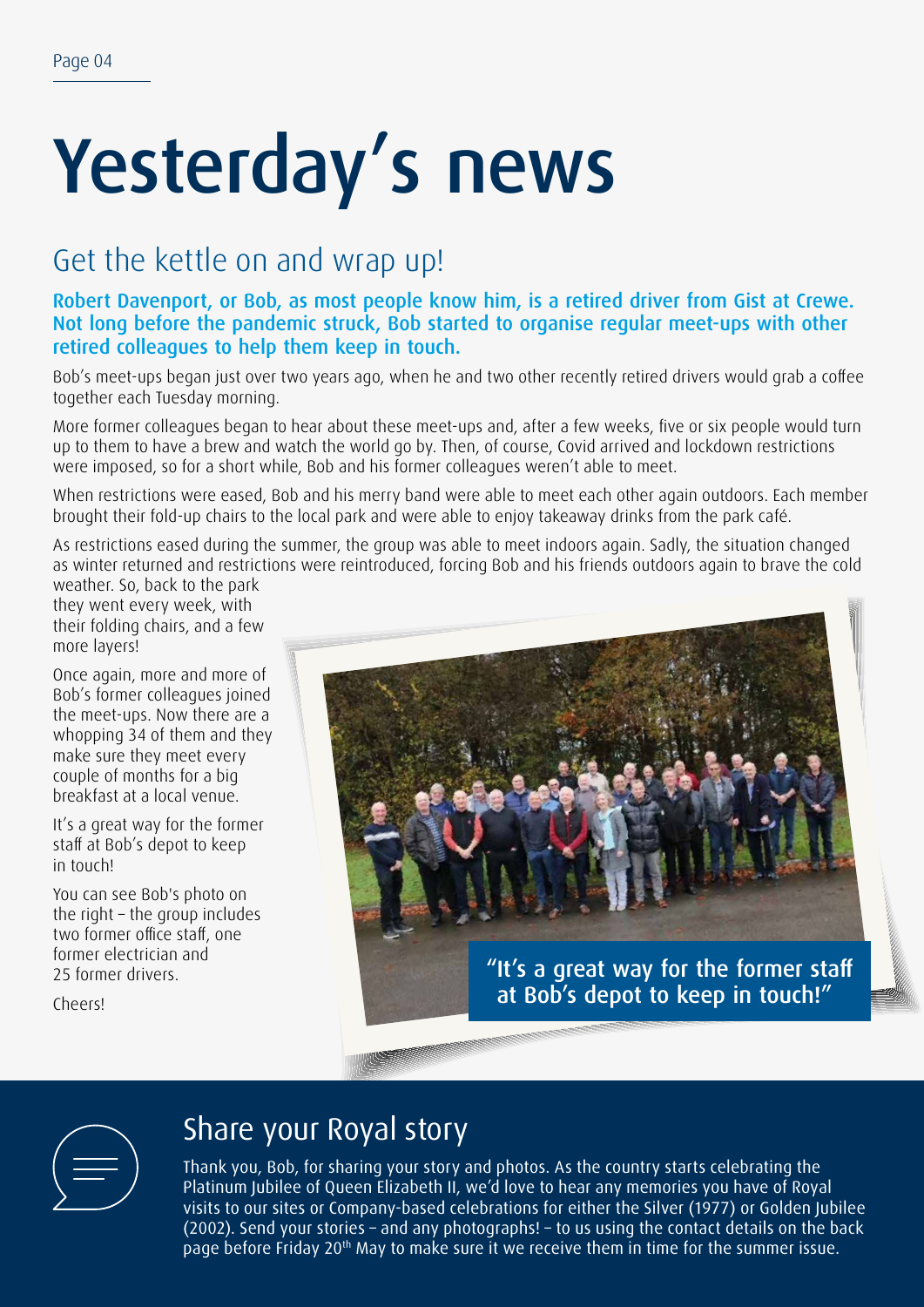## Yesterday's news

### Get the kettle on and wrap up!

Robert Davenport, or Bob, as most people know him, is a retired driver from Gist at Crewe. Not long before the pandemic struck, Bob started to organise regular meet-ups with other retired colleagues to help them keep in touch.

Bob's meet-ups began just over two years ago, when he and two other recently retired drivers would grab a coffee together each Tuesday morning.

More former colleagues began to hear about these meet-ups and, after a few weeks, five or six people would turn up to them to have a brew and watch the world go by. Then, of course, Covid arrived and lockdown restrictions were imposed, so for a short while, Bob and his former colleagues weren't able to meet.

When restrictions were eased, Bob and his merry band were able to meet each other again outdoors. Each member brought their fold-up chairs to the local park and were able to enjoy takeaway drinks from the park café.

As restrictions eased during the summer, the group was able to meet indoors again. Sadly, the situation changed as winter returned and restrictions were reintroduced, forcing Bob and his friends outdoors again to brave the cold

weather. So, back to the park they went every week, with their folding chairs, and a few more layers!

Once again, more and more of Bob's former colleagues joined the meet-ups. Now there are a whopping 34 of them and they make sure they meet every couple of months for a big breakfast at a local venue.

It's a great way for the former staff at Bob's depot to keep in touch!

You can see Bob's photo on the right – the group includes two former office staff, one former electrician and 25 former drivers.

Cheers!





### Share your Royal story

Thank you, Bob, for sharing your story and photos. As the country starts celebrating the Platinum Jubilee of Queen Elizabeth II, we'd love to hear any memories you have of Royal visits to our sites or Company-based celebrations for either the Silver (1977) or Golden Jubilee (2002). Send your stories – and any photographs! – to us using the contact details on the back page before Friday 20<sup>th</sup> May to make sure it we receive them in time for the summer issue.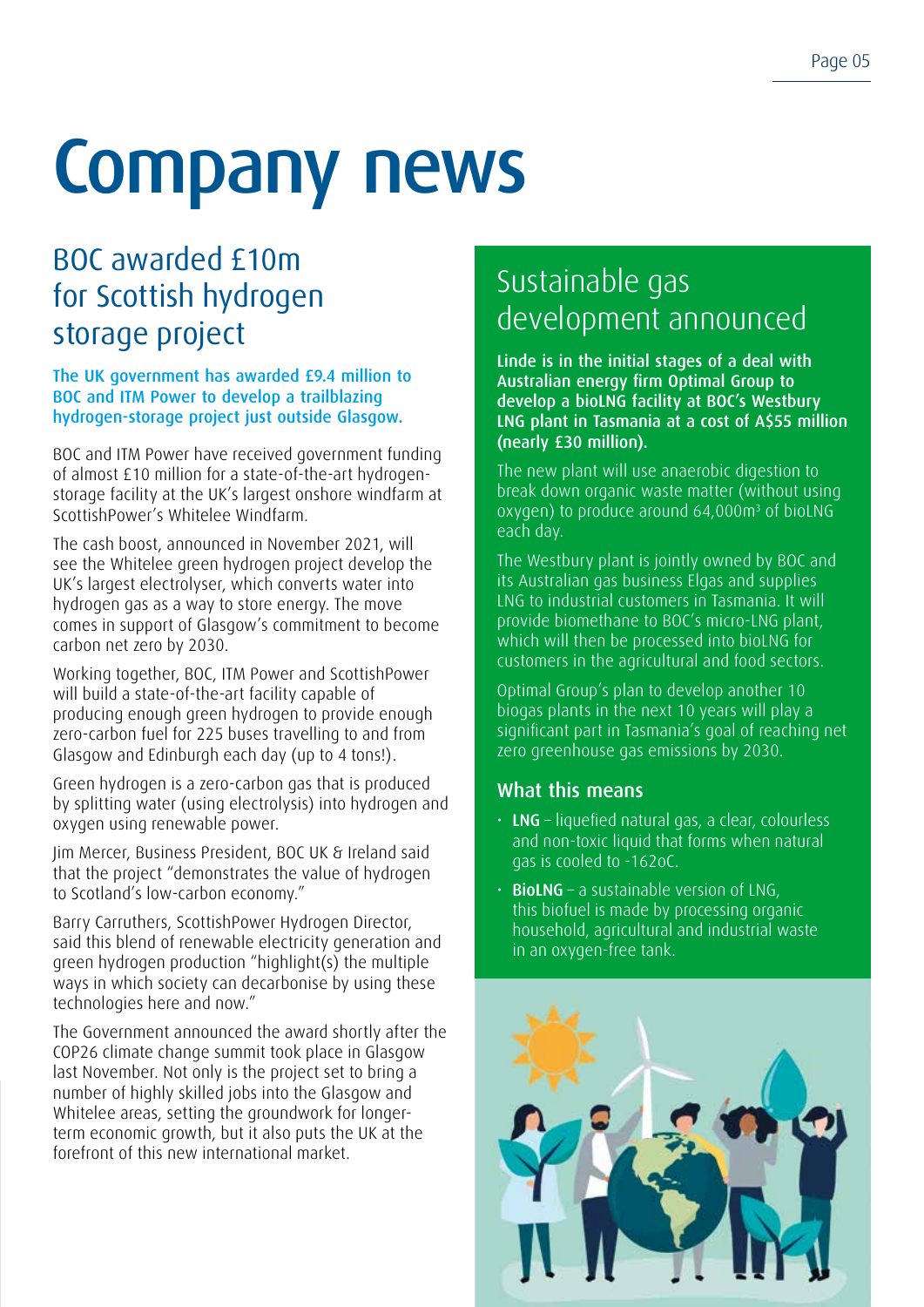## Company news

## BOC awarded £10m for Scottish hydrogen storage project

The UK government has awarded £9.4 million to BOC and ITM Power to develop a trailblazing hydrogen-storage project just outside Glasgow.

BOC and ITM Power have received government funding of almost £10 million for a state-of-the-art hydrogenstorage facility at the UK's largest onshore windfarm at ScottishPower's Whitelee Windfarm.

The cash boost, announced in November 2021, will see the Whitelee green hydrogen project develop the UK's largest electrolyser, which converts water into hydrogen gas as a way to store energy. The move comes in support of Glasgow's commitment to become carbon net zero by 2030.

Working together, BOC, ITM Power and ScottishPower will build a state-of-the-art facility capable of producing enough green hydrogen to provide enough zero-carbon fuel for 225 buses travelling to and from Glasgow and Edinburgh each day (up to 4 tons!).

Green hydrogen is a zero-carbon gas that is produced by splitting water (using electrolysis) into hydrogen and oxygen using renewable power.

Jim Mercer, Business President, BOC UK & Ireland said that the project "demonstrates the value of hydrogen to Scotland's low-carbon economy."

Barry Carruthers, ScottishPower Hydrogen Director, said this blend of renewable electricity generation and green hydrogen production "highlight(s) the multiple ways in which society can decarbonise by using these technologies here and now."

The Government announced the award shortly after the COP26 climate change summit took place in Glasgow last November. Not only is the project set to bring a number of highly skilled jobs into the Glasgow and Whitelee areas, setting the groundwork for longerterm economic growth, but it also puts the UK at the forefront of this new international market.

## Sustainable gas development announced

Linde is in the initial stages of a deal with Australian energy firm Optimal Group to develop a bioLNG facility at BOC's Westbury LNG plant in Tasmania at a cost of A\$55 million (nearly £30 million).

The new plant will use anaerobic digestion to break down organic waste matter (without using oxygen) to produce around 64,000m<sup>3</sup> of bioLNG each day.

The Westbury plant is jointly owned by BOC and its Australian gas business Elgas and supplies LNG to industrial customers in Tasmania. It will provide biomethane to BOC's micro-LNG plant, which will then be processed into bioLNG for customers in the agricultural and food sectors.

Optimal Group's plan to develop another 10 biogas plants in the next 10 years will play a significant part in Tasmania's goal of reaching net zero greenhouse gas emissions by 2030.

### What this means

- $\cdot$  LNG liquefied natural gas, a clear, colourless and non-toxic liquid that forms when natural gas is cooled to -162oC.
- BioLNG a sustainable version of LNG, this biofuel is made by processing organic household, agricultural and industrial waste in an oxygen-free tank.

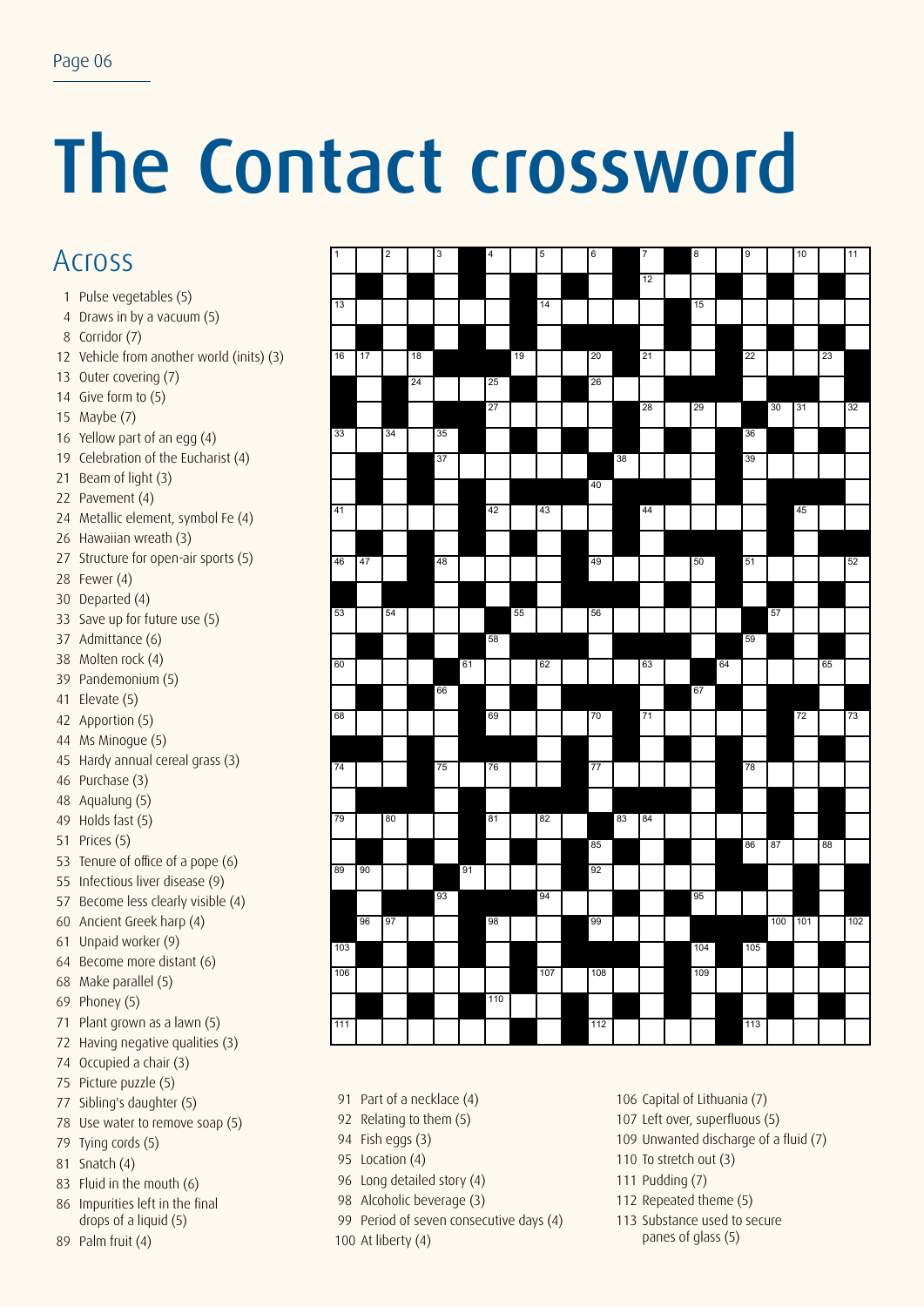## The Contact crossword

### Across

- Pulse vegetables (5)
- Draws in by a vacuum (5)
- Corridor (7)
- Vehicle from another world (inits) (3)
- Outer covering (7)
- Give form to (5)
- Maybe (7)
- Yellow part of an egg (4)
- Celebration of the Eucharist (4)
- Beam of light (3)
- Pavement (4)
- Metallic element, symbol Fe (4)
- Hawaiian wreath (3)
- Structure for open-air sports (5)
- Fewer (4)
- Departed (4)
- Save up for future use (5)
- Admittance (6)
- Molten rock (4)
- Pandemonium (5)
- Elevate (5)
- Apportion (5)
- Ms Minogue (5)
- Hardy annual cereal grass (3)
- Purchase (3)
- Aqualung (5)
- Holds fast (5)
- Prices (5)
- Tenure of office of a pope (6)
- Infectious liver disease (9)
- Become less clearly visible (4)
- Ancient Greek harp (4)
- Unpaid worker (9)
- Become more distant (6)
- Make parallel (5)
- Phoney (5)
- Plant grown as a lawn (5)
- Having negative qualities (3)
- Occupied a chair (3)
- Picture puzzle (5)
- Sibling's daughter (5)
- Use water to remove soap (5)
- Tying cords (5)
- Snatch (4)
- Fluid in the mouth (6)
- Impurities left in the final drops of a liquid (5)
- Palm fruit (4)

| $\overline{1}$ |    | $\overline{\mathbf{2}}$ |    | 3  |    | 4   |    | 5   | 6   |    | 7  | 8   |    | 9   |     | 10  |    | 11  |
|----------------|----|-------------------------|----|----|----|-----|----|-----|-----|----|----|-----|----|-----|-----|-----|----|-----|
|                |    |                         |    |    |    |     |    |     |     |    | 12 |     |    |     |     |     |    |     |
| 13             |    |                         |    |    |    |     |    | 14  |     |    |    | 15  |    |     |     |     |    |     |
|                |    |                         |    |    |    |     |    |     |     |    |    |     |    |     |     |     |    |     |
| 16             | 17 |                         | 18 |    |    |     | 19 |     | 20  |    | 21 |     |    | 22  |     |     | 23 |     |
|                |    |                         | 24 |    |    | 25  |    |     | 26  |    |    |     |    |     |     |     |    |     |
|                |    |                         |    |    |    |     |    |     |     |    |    |     |    |     |     |     |    |     |
|                |    |                         |    |    |    | 27  |    |     |     |    | 28 | 29  |    |     | 30  | 31  |    | 32  |
| 33             |    | 34                      |    | 35 |    |     |    |     |     |    |    |     |    | 36  |     |     |    |     |
|                |    |                         |    | 37 |    |     |    |     |     | 38 |    |     |    | 39  |     |     |    |     |
|                |    |                         |    |    |    |     |    |     | 40  |    |    |     |    |     |     |     |    |     |
| 41             |    |                         |    |    |    | 42  |    | 43  |     |    | 44 |     |    |     |     | 45  |    |     |
|                |    |                         |    |    |    |     |    |     |     |    |    |     |    |     |     |     |    |     |
| 46             | 47 |                         |    | 48 |    |     |    |     | 49  |    |    | 50  |    | 51  |     |     |    | 52  |
|                |    |                         |    |    |    |     |    |     |     |    |    |     |    |     |     |     |    |     |
| 53             |    | 54                      |    |    |    |     | 55 |     | 56  |    |    |     |    |     | 57  |     |    |     |
|                |    |                         |    |    |    | 58  |    |     |     |    |    |     |    | 59  |     |     |    |     |
| 60             |    |                         |    |    | 61 |     |    | 62  |     |    | 63 |     | 64 |     |     |     | 65 |     |
|                |    |                         |    |    |    |     |    |     |     |    |    | 67  |    |     |     |     |    |     |
|                |    |                         |    | 66 |    |     |    |     |     |    |    |     |    |     |     |     |    |     |
| 68             |    |                         |    |    |    | 69  |    |     | 70  |    | 71 |     |    |     |     | 72  |    | 73  |
|                |    |                         |    |    |    |     |    |     |     |    |    |     |    |     |     |     |    |     |
| 74             |    |                         |    | 75 |    | 76  |    |     | 77  |    |    |     |    | 78  |     |     |    |     |
|                |    |                         |    |    |    |     |    |     |     |    |    |     |    |     |     |     |    |     |
| 79             |    | 80                      |    |    |    | 81  |    | 82  |     | 83 | 84 |     |    |     |     |     |    |     |
|                |    |                         |    |    |    |     |    |     | 85  |    |    |     |    | 86  | 87  |     | 88 |     |
| 89             | 90 |                         |    |    | 91 |     |    |     | 92  |    |    |     |    |     |     |     |    |     |
|                |    |                         |    | 93 |    |     |    | 94  |     |    |    | 95  |    |     |     |     |    |     |
|                | 96 | 97                      |    |    |    | 98  |    |     | 99  |    |    |     |    |     | 100 | 101 |    | 102 |
| 103            |    |                         |    |    |    |     |    |     |     |    |    | 104 |    | 105 |     |     |    |     |
| 106            |    |                         |    |    |    |     |    | 107 | 108 |    |    | 109 |    |     |     |     |    |     |
|                |    |                         |    |    |    | 110 |    |     |     |    |    |     |    |     |     |     |    |     |
|                |    |                         |    |    |    |     |    |     |     |    |    |     |    |     |     |     |    |     |
| 111            |    |                         |    |    |    |     |    |     | 112 |    |    |     |    | 113 |     |     |    |     |

- Part of a necklace (4)
- Relating to them (5)
- Fish eggs (3)
- Location (4)
- Long detailed story (4)
- 
- Alcoholic beverage (3)
- Period of seven consecutive days (4)
- At liberty (4)

Capital of Lithuania (7)

- Left over, superfluous (5)
- Unwanted discharge of a fluid (7)
- To stretch out (3)
- Pudding (7)
- Repeated theme (5)
- Substance used to secure panes of glass (5)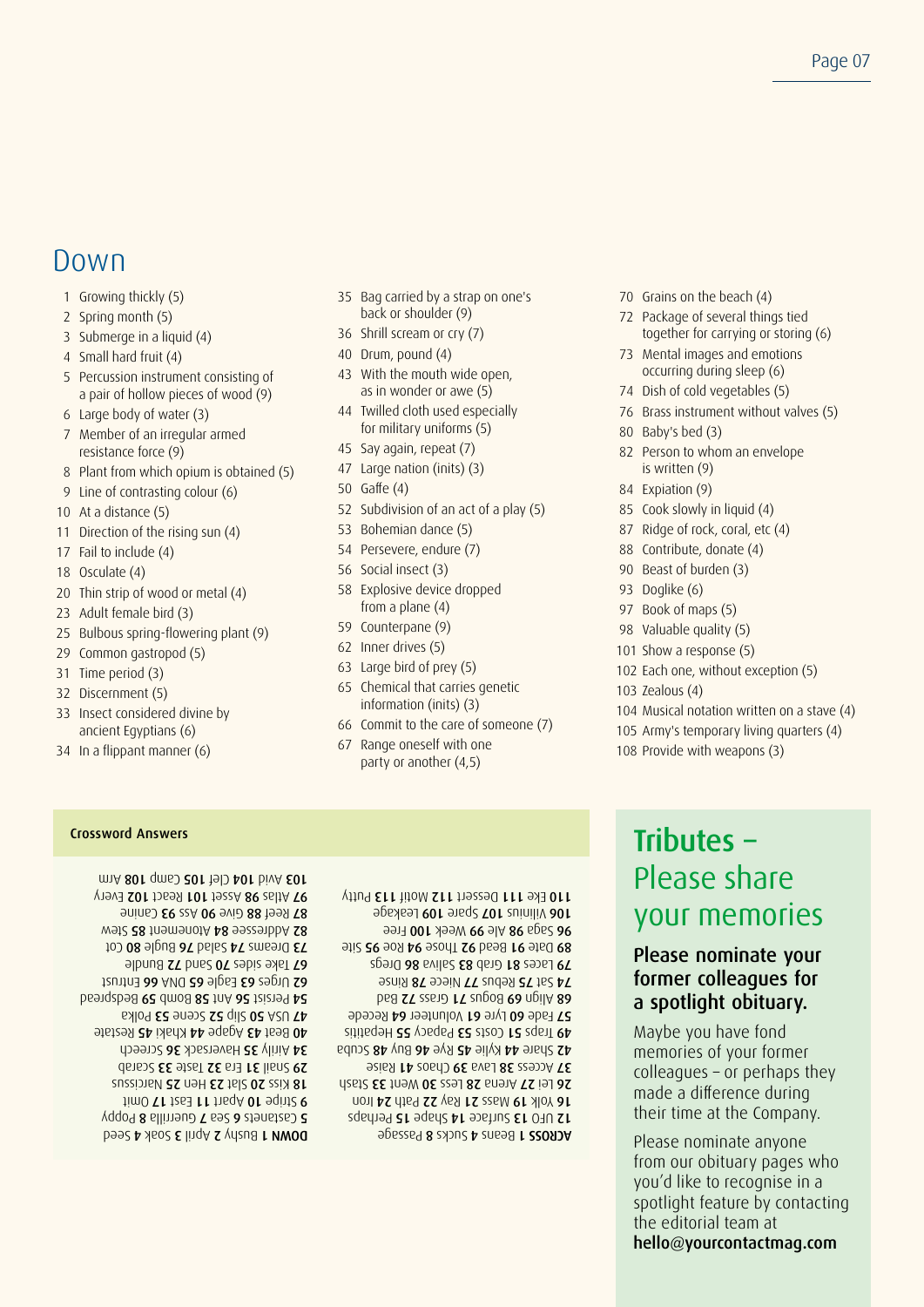### Down

- 1 Growing thickly (5)
- 2 Spring month (5)
- 3 Submerge in a liquid (4)
- 4 Small hard fruit (4)
- 5 Percussion instrument consisting of a pair of hollow pieces of wood (9)
- 6 Large body of water (3)
- 7 Member of an irregular armed resistance force (9)
- 8 Plant from which opium is obtained (5)
- 9 Line of contrasting colour (6)
- 10 At a distance (5)
- 11 Direction of the rising sun (4)
- 17 Fail to include (4)
- 18 Osculate (4)
- 20 Thin strip of wood or metal (4)
- 23 Adult female bird (3)
- 25 Bulbous spring-flowering plant (9)
- 29 Common gastropod (5)
- 31 Time period (3)
- 32 Discernment (5)
- 33 Insect considered divine by ancient Egyptians (6)
- 34 In a flippant manner (6)
- 35 Bag carried by a strap on one's back or shoulder (9)
- 36 Shrill scream or cry (7)
- 40 Drum, pound (4)
- 43 With the mouth wide open, as in wonder or awe (5)
- 44 Twilled cloth used especially for military uniforms (5)
- 45 Say again, repeat (7)
- 47 Large nation (inits) (3)
- 50 Gaffe (4)
- 52 Subdivision of an act of a play (5)
- 53 Bohemian dance (5)
- 54 Persevere, endure (7)
- 56 Social insect (3)
- 58 Explosive device dropped from a plane (4)
- 59 Counterpane (9)
- 62 Inner drives (5)
- 63 Large bird of prey (5)
- 65 Chemical that carries genetic information (inits) (3)
- 66 Commit to the care of someone (7)
- 67 Range oneself with one party or another (4,5)
- 70 Grains on the beach (4)
- 72 Package of several things tied together for carrying or storing (6)
- 73 Mental images and emotions occurring during sleep (6)
- 74 Dish of cold vegetables (5)
- 76 Brass instrument without valves (5)
- 80 Baby's bed (3)
- 82 Person to whom an envelope is written (9)
- 84 Expiation (9)
- 85 Cook slowly in liquid (4)
- 87 Ridge of rock, coral, etc (4)
- 88 Contribute, donate (4)
- 90 Beast of burden (3)
- 93 Doglike (6)
- 97 Book of maps (5)
- 98 Valuable quality (5)
- 101 Show a response (5)
- 102 Each one, without exception (5)
- 103 Zealous (4)
- 104 Musical notation written on a stave (4)
- 105 Army's temporary living quarters (4)
- 108 Provide with weapons (3)

Bown 1 Bushy 2 April 3 Soak 4 Seed **S** Castanets 6 Sea 7 Guerrilla 8 Poppy  $lim$  O  $\Gamma$  1  $lim$   $1$   $lim$   $\Gamma$   $lim$   $\Gamma$   $lim$   $\Gamma$   $lim$   $\Gamma$   $lim$   $\Gamma$ 18 Kiss 20 Slat 25 Hen 25 Narcissus Scarab 31 Era 32 Taste 33 Scarab 34 Airily 35 Haversack 36 Screech AO Beat 43 Agape 44 Khaki 45 Restate Palod 52 Scene 53 Polka Bedspread 56 Ant 58 Bomb 59 Bedspread E2 Urges 63 Eagle 65 DNA 66 Entrust Bundle 27 Pues 07 sapis and 18  $100$  08  $\theta$ lpu $\theta$  of balad  $\epsilon$ T ams $\theta$ 0 Cot wet? 28 tnemenotA b8 sezeenbbA S8 **B7 Reef 88 Give 90 Ass 93 Canine** Ynev3 201 12698 101 1922A 89 26ltA T9  $m$   $A$  80 $\Gamma$  qms $D$  20 $\Gamma$  tel $D$  40 $\Gamma$  biv  $A$  50 $\Gamma$ 

**POSSAGE 8 SUCKS 4 SUGGE 1 SSORDA**  $P$  or  $P$  is 2  $P$  and  $P$  and  $P$  is  $P$  and  $P$  is  $P$ Iron 45 Mass 21 Ray 22 Path 24 Iron Stash 33 Arena 28 Less 30 Went 33 Stash **Raise 38 Lava 39 Chaos 41 Raise**  $45$  Share 44 Kylie 45 Rye 46 Buy 48 Scuba  $\frac{1}{10}$  reparitis 15  $\sigma$   $\sigma$   $\sigma$   $\sigma$   $\sigma$   $\sigma$   $\sigma$ **PN Hade 60 Lyre 61 Volunteer 64 Recede** Bad ST 226 Bogus 71 Grass 75 Bad **Rinse 78 Repus 77 Niece 78 Rinse** 29 Laces 81 Grab 83 Saliva 86 Dregs Site 15 Bead 82 Page 94 Roe 95 Stie **9911 001 Ale 99 Week 100 Free** 106 Vilinius 107 Spare 109 Leakage 110 Eke 111 Dessert 112 Motif 113 Putty

### Crossword Answers **Crossword Answers Crossword Answers** Please share your memories

#### Please nominate your former colleagues for a spotlight obituary.

Maybe you have fond memories of your former colleagues – or perhaps they made a difference during their time at the Company.

Please nominate anyone from our obituary pages who you'd like to recognise in a spotlight feature by contacting the editorial team at hello@yourcontactmag.com